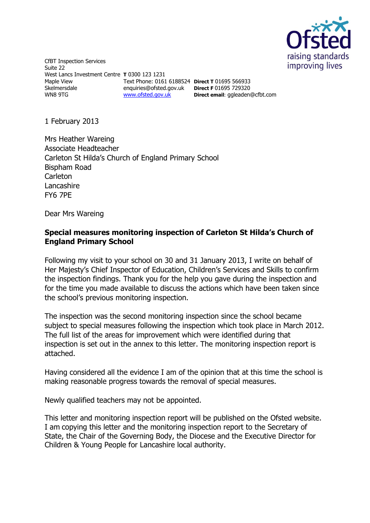

CfBT Inspection Services Suite 22 West Lancs Investment Centre **T** 0300 123 1231 Maple View Skelmersdale WN8 9TG [www.ofsted.gov.uk](http://www.ofsted.gov.uk/)

Text Phone: 0161 6188524 **Direct T** 01695 566933 enquiries@ofsted.gov.uk **Direct F** 01695 729320 **Direct email**: ggleaden@cfbt.com

1 February 2013

Mrs Heather Wareing Associate Headteacher Carleton St Hilda's Church of England Primary School Bispham Road Carleton Lancashire FY6 7PE

Dear Mrs Wareing

# **Special measures monitoring inspection of Carleton St Hilda's Church of England Primary School**

Following my visit to your school on 30 and 31 January 2013, I write on behalf of Her Majesty's Chief Inspector of Education, Children's Services and Skills to confirm the inspection findings. Thank you for the help you gave during the inspection and for the time you made available to discuss the actions which have been taken since the school's previous monitoring inspection.

The inspection was the second monitoring inspection since the school became subject to special measures following the inspection which took place in March 2012. The full list of the areas for improvement which were identified during that inspection is set out in the annex to this letter. The monitoring inspection report is attached.

Having considered all the evidence I am of the opinion that at this time the school is making reasonable progress towards the removal of special measures.

Newly qualified teachers may not be appointed.

This letter and monitoring inspection report will be published on the Ofsted website. I am copying this letter and the monitoring inspection report to the Secretary of State, the Chair of the Governing Body, the Diocese and the Executive Director for Children & Young People for Lancashire local authority.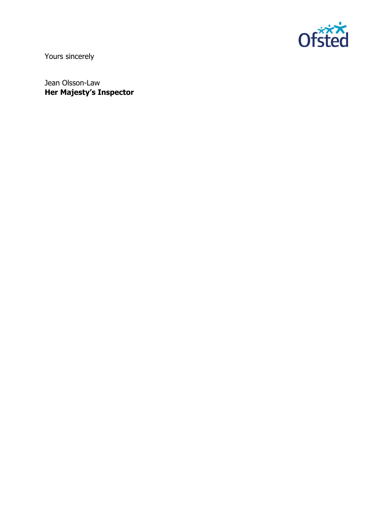

Yours sincerely

Jean Olsson-Law **Her Majesty's Inspector**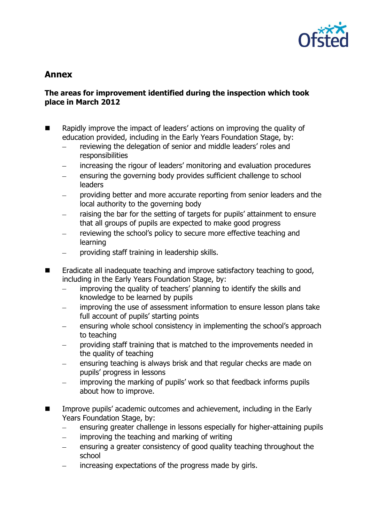

# **Annex**

# **The areas for improvement identified during the inspection which took place in March 2012**

- Rapidly improve the impact of leaders' actions on improving the quality of education provided, including in the Early Years Foundation Stage, by:
	- reviewing the delegation of senior and middle leaders' roles and responsibilities
	- increasing the rigour of leaders' monitoring and evaluation procedures
	- ensuring the governing body provides sufficient challenge to school leaders
	- providing better and more accurate reporting from senior leaders and the local authority to the governing body
	- raising the bar for the setting of targets for pupils' attainment to ensure that all groups of pupils are expected to make good progress
	- reviewing the school's policy to secure more effective teaching and learning
	- providing staff training in leadership skills.  $\overline{\phantom{0}}$
- Eradicate all inadequate teaching and improve satisfactory teaching to good, including in the Early Years Foundation Stage, by:
	- improving the quality of teachers' planning to identify the skills and knowledge to be learned by pupils
	- improving the use of assessment information to ensure lesson plans take full account of pupils' starting points
	- ensuring whole school consistency in implementing the school's approach to teaching
	- providing staff training that is matched to the improvements needed in the quality of teaching
	- ensuring teaching is always brisk and that regular checks are made on  $\equiv$ pupils' progress in lessons
	- improving the marking of pupils' work so that feedback informs pupils about how to improve.
- Improve pupils' academic outcomes and achievement, including in the Early Years Foundation Stage, by:
	- ensuring greater challenge in lessons especially for higher-attaining pupils  $\sim$
	- improving the teaching and marking of writing  $\overline{\phantom{0}}$
	- ensuring a greater consistency of good quality teaching throughout the school
	- increasing expectations of the progress made by girls.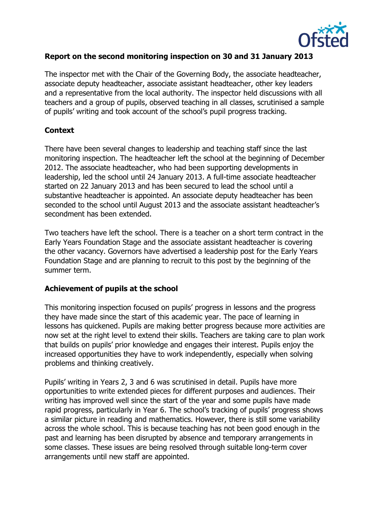

# **Report on the second monitoring inspection on 30 and 31 January 2013**

The inspector met with the Chair of the Governing Body, the associate headteacher, associate deputy headteacher, associate assistant headteacher, other key leaders and a representative from the local authority. The inspector held discussions with all teachers and a group of pupils, observed teaching in all classes, scrutinised a sample of pupils' writing and took account of the school's pupil progress tracking.

# **Context**

There have been several changes to leadership and teaching staff since the last monitoring inspection. The headteacher left the school at the beginning of December 2012. The associate headteacher, who had been supporting developments in leadership, led the school until 24 January 2013. A full-time associate headteacher started on 22 January 2013 and has been secured to lead the school until a substantive headteacher is appointed. An associate deputy headteacher has been seconded to the school until August 2013 and the associate assistant headteacher's secondment has been extended.

Two teachers have left the school. There is a teacher on a short term contract in the Early Years Foundation Stage and the associate assistant headteacher is covering the other vacancy. Governors have advertised a leadership post for the Early Years Foundation Stage and are planning to recruit to this post by the beginning of the summer term.

#### **Achievement of pupils at the school**

This monitoring inspection focused on pupils' progress in lessons and the progress they have made since the start of this academic year. The pace of learning in lessons has quickened. Pupils are making better progress because more activities are now set at the right level to extend their skills. Teachers are taking care to plan work that builds on pupils' prior knowledge and engages their interest. Pupils enjoy the increased opportunities they have to work independently, especially when solving problems and thinking creatively.

Pupils' writing in Years 2, 3 and 6 was scrutinised in detail. Pupils have more opportunities to write extended pieces for different purposes and audiences. Their writing has improved well since the start of the year and some pupils have made rapid progress, particularly in Year 6. The school's tracking of pupils' progress shows a similar picture in reading and mathematics. However, there is still some variability across the whole school. This is because teaching has not been good enough in the past and learning has been disrupted by absence and temporary arrangements in some classes. These issues are being resolved through suitable long-term cover arrangements until new staff are appointed.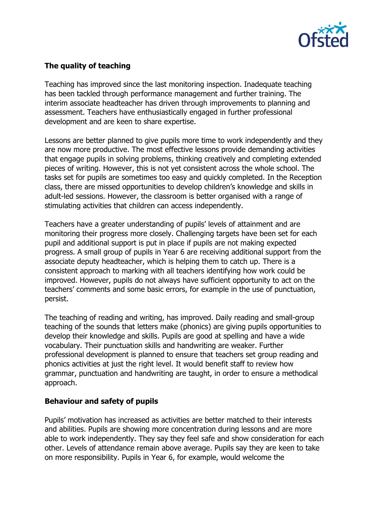

# **The quality of teaching**

Teaching has improved since the last monitoring inspection. Inadequate teaching has been tackled through performance management and further training. The interim associate headteacher has driven through improvements to planning and assessment. Teachers have enthusiastically engaged in further professional development and are keen to share expertise.

Lessons are better planned to give pupils more time to work independently and they are now more productive. The most effective lessons provide demanding activities that engage pupils in solving problems, thinking creatively and completing extended pieces of writing. However, this is not yet consistent across the whole school. The tasks set for pupils are sometimes too easy and quickly completed. In the Reception class, there are missed opportunities to develop children's knowledge and skills in adult-led sessions. However, the classroom is better organised with a range of stimulating activities that children can access independently.

Teachers have a greater understanding of pupils' levels of attainment and are monitoring their progress more closely. Challenging targets have been set for each pupil and additional support is put in place if pupils are not making expected progress. A small group of pupils in Year 6 are receiving additional support from the associate deputy headteacher, which is helping them to catch up. There is a consistent approach to marking with all teachers identifying how work could be improved. However, pupils do not always have sufficient opportunity to act on the teachers' comments and some basic errors, for example in the use of punctuation, persist.

The teaching of reading and writing, has improved. Daily reading and small-group teaching of the sounds that letters make (phonics) are giving pupils opportunities to develop their knowledge and skills. Pupils are good at spelling and have a wide vocabulary. Their punctuation skills and handwriting are weaker. Further professional development is planned to ensure that teachers set group reading and phonics activities at just the right level. It would benefit staff to review how grammar, punctuation and handwriting are taught, in order to ensure a methodical approach.

#### **Behaviour and safety of pupils**

Pupils' motivation has increased as activities are better matched to their interests and abilities. Pupils are showing more concentration during lessons and are more able to work independently. They say they feel safe and show consideration for each other. Levels of attendance remain above average. Pupils say they are keen to take on more responsibility. Pupils in Year 6, for example, would welcome the